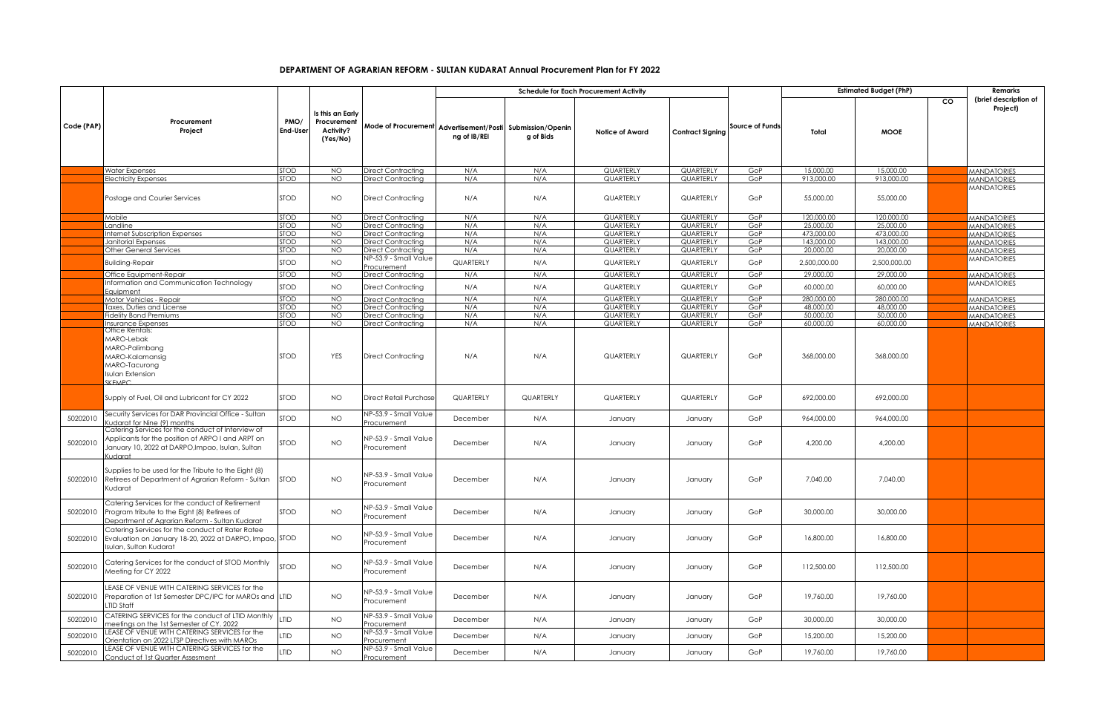## **DEPARTMENT OF AGRARIAN REFORM - SULTAN KUDARAT Annual Procurement Plan for FY 2022**

|            |                                                                                                                                                                      |                            |                                 |                                                                   | <b>Schedule for Each Procurement Activity</b> |            |                               |                         | <b>Estimated Budget (PhP)</b> |                           |                           | Remarks   |                                          |
|------------|----------------------------------------------------------------------------------------------------------------------------------------------------------------------|----------------------------|---------------------------------|-------------------------------------------------------------------|-----------------------------------------------|------------|-------------------------------|-------------------------|-------------------------------|---------------------------|---------------------------|-----------|------------------------------------------|
|            | Procurement                                                                                                                                                          | PMO/                       | Is this an Early<br>Procurement |                                                                   |                                               |            |                               |                         |                               |                           |                           | <b>CO</b> | (brief description of<br>Project)        |
| Code (PAP) | Project                                                                                                                                                              | <b>End-User</b>            | Activity?<br>(Yes/No)           | Mode of Procurement   Advertisement/Posti   Submission/Openin     | ng of IB/REI                                  | g of Bids  | <b>Notice of Award</b>        | <b>Contract Signing</b> | <b>Source of Funds</b>        | Total                     | <b>MOOE</b>               |           |                                          |
|            | <b>Water Expenses</b>                                                                                                                                                | <b>STOD</b>                | NO                              | Direct Contracting                                                | N/A                                           | N/A        | <b>QUARTERLY</b>              | QUARTERLY               | GoP                           | 15,000,00                 | 15,000.00                 |           | <b>MANDATORIES</b>                       |
|            | <b>Electricity Expenses</b>                                                                                                                                          | <b>STOD</b>                | NO <sub>1</sub>                 | Direct Contracting                                                | N/A                                           | N/A        | <b>QUARTERLY</b>              | <b>QUARTERLY</b>        | GoP                           | 913,000,00                | 913,000,00                |           | <b>MANDATORIES</b>                       |
|            | Postage and Courier Services                                                                                                                                         | <b>STOD</b>                | NO.                             | <b>Direct Contracting</b>                                         | N/A                                           | N/A        | QUARTERLY                     | QUARTERLY               | GoP                           | 55,000.00                 | 55,000.00                 |           | <b>MANDATORIES</b>                       |
|            | Mobile                                                                                                                                                               | <b>STOD</b>                | NO                              | Direct Contracting                                                | N/A                                           | N/A        | QUARTERLY                     | QUARTERLY               | GoP                           | 120,000.00                | 120,000.00                |           | <b>MANDATORIES</b>                       |
|            | Landline                                                                                                                                                             | <b>STOD</b>                | <b>NO</b>                       | Direct Contracting                                                | N/A                                           | N/A        | QUARTERLY                     | <b>QUARTERLY</b>        | GoP                           | 25,000.00                 | 25,000.00                 |           | <b>MANDATORIES</b>                       |
|            | Internet Subscription Expenses                                                                                                                                       | <b>STOD</b>                | NO.                             | Direct Contracting                                                | N/A                                           | N/A        | QUARTERLY                     | QUARTERLY               | GoP                           | 473.000.00                | 473,000,00                |           | <b>MANDATORIES</b>                       |
|            | Janitorial Expenses                                                                                                                                                  | <b>STOD</b>                | <b>NO</b>                       | Direct Contracting                                                | N/A                                           | N/A        | QUARTERLY<br><b>QUARTERLY</b> | QUARTERLY<br>QUARTERLY  | GoP                           | 143,000.00<br>20,000.00   | 143,000.00<br>20,000.00   |           | <b>MANDATORIES</b>                       |
|            | Other General Services                                                                                                                                               | <b>STOD</b>                | NO.                             | Direct Contracting                                                | N/A                                           | N/A        |                               |                         | GoP                           |                           |                           |           | <b>MANDATORIES</b>                       |
|            | Building-Repair<br>Office Equipment-Repair                                                                                                                           | <b>STOD</b><br><b>STOD</b> | <b>NO</b><br>NO.                | <b>NP-53.9 - Small Value</b><br>Procurement<br>Direct Contracting | QUARTERLY<br>N/A                              | N/A<br>N/A | QUARTERLY<br>QUARTERLY        | QUARTERLY<br>QUARTERLY  | GoP<br>GoP                    | 2,500,000.00<br>29,000.00 | 2,500,000.00<br>29,000.00 |           | <b>MANDATORIES</b><br><b>MANDATORIES</b> |
|            | Information and Communication Technology                                                                                                                             |                            |                                 |                                                                   |                                               |            |                               |                         |                               |                           |                           |           | <b>MANDATORIES</b>                       |
|            | Equipment<br>Motor Vehicles - Repair                                                                                                                                 | <b>STOD</b><br><b>STOD</b> | <b>NO</b><br><b>NO</b>          | Direct Contracting<br>Direct Contracting                          | N/A<br>N/A                                    | N/A<br>N/A | QUARTERLY<br>QUARTERLY        | QUARTERLY<br>QUARTERLY  | GoP<br>GoP                    | 60,000.00<br>280,000.00   | 60,000.00<br>280,000.00   |           | <b>MANDATORIES</b>                       |
|            | Taxes, Duties and License                                                                                                                                            | <b>STOD</b>                | NO.                             | Direct Contracting                                                | N/A                                           | N/A        | QUARTERLY                     | QUARTERLY               | GoP                           | 48,000.00                 | 48,000,00                 |           | <b>MANDATORIES</b>                       |
|            | <b>Fidelity Bond Premiums</b>                                                                                                                                        | <b>STOD</b>                | <b>NO</b>                       | Direct Contracting                                                | N/A                                           | N/A        | QUARTERLY                     | QUARTERLY               | GoP                           | 50,000.00                 | 50,000.00                 |           | <b>MANDATORIES</b>                       |
|            | Insurance Expenses                                                                                                                                                   | STOD                       | <b>NO</b>                       | Direct Contracting                                                | N/A                                           | N/A        | QUARTERLY                     | QUARTERLY               | GoP                           | 60,000.00                 | 60,000.00                 |           | <b>MANDATORIES</b>                       |
|            | Office Rentals:<br>MARO-Lebak<br>MARO-Palimbang<br>MARO-Kalamansig<br>MARO-Tacurong<br>Isulan Extension<br>SKEMPC.                                                   | <b>STOD</b>                | YES                             | <b>Direct Contracting</b>                                         | N/A                                           | N/A        | QUARTERLY                     | QUARTERLY               | GoP                           | 368,000.00                | 368,000.00                |           |                                          |
|            | Supply of Fuel, Oil and Lubricant for CY 2022                                                                                                                        | <b>STOD</b>                | NO.                             | Direct Retail Purchase                                            | QUARTERLY                                     | QUARTERLY  | QUARTERLY                     | QUARTERLY               | GoP                           | 692,000.00                | 692,000.00                |           |                                          |
| 50202010   | Security Services for DAR Provincial Office - Sultan<br>udarat for Nine (9) months                                                                                   | <b>STOD</b>                | NO.                             | NP-53.9 - Small Value<br>Procurement                              | December                                      | N/A        | January                       | January                 | GoP                           | 964,000.00                | 964,000.00                |           |                                          |
| 50202010   | Catering Services for the conduct of Interview of<br>Applicants for the position of ARPO I and ARPT on<br>January 10, 2022 at DARPO, Impao, Isulan, Sultan<br>tombu) | STOD                       | <b>NO</b>                       | <b>NP-53.9 - Small Value</b><br>Procurement                       | December                                      | N/A        | January                       | January                 | GoP                           | 4,200.00                  | 4,200.00                  |           |                                          |
| 50202010   | Supplies to be used for the Tribute to the Eight (8)<br>Retirees of Department of Agrarian Reform - Sultan<br>Kudarat                                                | <b>STOD</b>                | <b>NO</b>                       | <b>JP-53.9 - Small Value</b><br>Procurement                       | December                                      | N/A        | January                       | January                 | GoP                           | 7,040.00                  | 7,040.00                  |           |                                          |
| 50202010   | Catering Services for the conduct of Retirement<br>Program tribute to the Eight (8) Retirees of<br>Department of Agrarian Reform - Sultan Kudarat                    | <b>STOD</b>                | NO.                             | <b>\P-53.9 - Small Value</b><br>Procurement                       | December                                      | N/A        | January                       | January                 | GoP                           | 30,000.00                 | 30,000.00                 |           |                                          |
| 50202010   | Catering Services for the conduct of Rater Ratee<br>Evaluation on January 18-20, 2022 at DARPO, Impao, STOD<br>Isulan, Sultan Kudarat                                |                            | NO.                             | <b>NP-53.9 - Small Value</b><br>Procurement                       | December                                      | N/A        | January                       | January                 | GoP                           | 16,800.00                 | 16,800.00                 |           |                                          |
| 50202010   | Catering Services for the conduct of STOD Monthly<br>Meeting for CY 2022                                                                                             | <b>STOD</b>                | <b>NO</b>                       | <b>NP-53.9 - Small Value</b><br>Procurement                       | December                                      | N/A        | January                       | January                 | GoP                           | 112,500.00                | 112,500.00                |           |                                          |
| 50202010   | LEASE OF VENUE WITH CATERING SERVICES for the<br>Preparation of 1st Semester DPC/IPC for MAROs and LTID<br>LTID Staff                                                |                            | <b>NO</b>                       | <b>NP-53.9 - Small Value</b><br>Procurement                       | December                                      | N/A        | January                       | January                 | GoP                           | 19,760.00                 | 19,760.00                 |           |                                          |
| 50202010   | CATERING SERVICES for the conduct of LTID Monthly<br>neetings on the 1st Semester of CY, 2022                                                                        | LTID                       | <b>NO</b>                       | <b>NP-53.9 - Small Value</b><br><u>'rocurement</u>                | December                                      | N/A        | January                       | January                 | GoP                           | 30,000.00                 | 30,000.00                 |           |                                          |
| 50202010   | LEASE OF VENUE WITH CATERING SERVICES for the<br>Orientation on 2022 LTSP Directives with MAROs                                                                      | LTID                       | <b>NO</b>                       | <b>JP-53.9 - Small Value</b><br>rocurement                        | December                                      | N/A        | January                       | January                 | GoP                           | 15,200.00                 | 15,200.00                 |           |                                          |
| 50202010   | LEASE OF VENUE WITH CATERING SERVICES for the<br>Conduct of 1st Quarter Assesment                                                                                    | <b>LTID</b>                | NO.                             | NP-53.9 - Small Value<br>Procurement                              | December                                      | N/A        | January                       | January                 | GoP                           | 19,760.00                 | 19,760.00                 |           |                                          |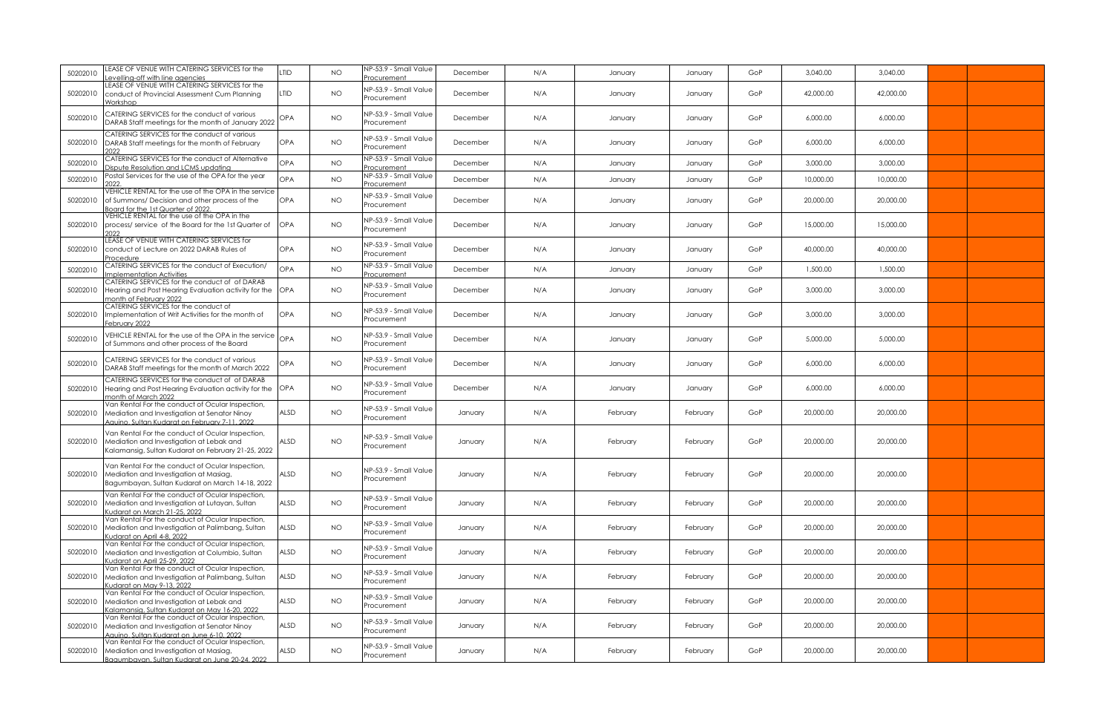| 50202010 | LEASE OF VENUE WITH CATERING SERVICES for the<br>evelling-off with line agencies                                                                   | LTID        | <b>NO</b> | NP-53.9 - Small Value<br>rocurement         | December | N/A | January  | January  | GoP | 3,040.00  | 3,040.00  |  |
|----------|----------------------------------------------------------------------------------------------------------------------------------------------------|-------------|-----------|---------------------------------------------|----------|-----|----------|----------|-----|-----------|-----------|--|
| 50202010 | LEASE OF VENUE WITH CATERING SERVICES for the<br>conduct of Provincial Assessment Cum Planning<br>Norkshon                                         | LTID        | <b>NO</b> | <b>VP-53.9 - Small Value</b><br>Procurement | December | N/A | January  | January  | GoP | 42,000.00 | 42,000.00 |  |
| 50202010 | CATERING SERVICES for the conduct of various<br>DARAB Staff meetings for the month of January 2022                                                 | <b>OPA</b>  | NO.       | NP-53.9 - Small Value<br>Procurement        | December | N/A | January  | January  | GoP | 6,000.00  | 6,000.00  |  |
| 50202010 | CATERING SERVICES for the conduct of various<br>DARAB Staff meetings for the month of February                                                     | <b>OPA</b>  | <b>NO</b> | NP-53.9 - Small Value<br>Procurement        | December | N/A | January  | January  | GoP | 6,000.00  | 6,000.00  |  |
| 50202010 | CATERING SERVICES for the conduct of Alternative<br>ispute Resolution and LCMS updating                                                            | OPA         | NO.       | NP-53.9 - Small Value<br>rocurement         | December | N/A | January  | January  | GoP | 3,000.00  | 3,000.00  |  |
| 50202010 | Postal Services for the use of the OPA for the year                                                                                                | <b>OPA</b>  | NO.       | NP-53.9 - Small Value<br>rocurement         | December | N/A | January  | January  | GoP | 10,000.00 | 10,000.00 |  |
| 50202010 | VEHICLE RENTAL for the use of the OPA in the service<br>of Summons/ Decision and other process of the<br>Board for the 1st Quarter of 2022         | OPA         | NO.       | NP-53.9 - Small Value<br>Procurement        | December | N/A | January  | January  | GoP | 20,000.00 | 20,000.00 |  |
| 50202010 | VEHICLE RENTAL for the use of the OPA in the<br>process/ service of the Board for the 1st Quarter of                                               | OPA         | NO.       | NP-53.9 - Small Value<br>Procurement        | December | N/A | January  | January  | GoP | 15,000.00 | 15,000.00 |  |
| 50202010 | LEASE OF VENUE WITH CATERING SERVICES for<br>conduct of Lecture on 2022 DARAB Rules of<br>Procedure                                                | <b>OPA</b>  | NO.       | NP-53.9 - Small Value<br>Procurement        | December | N/A | January  | January  | GoP | 40,000.00 | 40,000.00 |  |
| 50202010 | CATERING SERVICES for the conduct of Execution/<br>mplementation Activities                                                                        | <b>OPA</b>  | NO.       | NP-53.9 - Small Value<br>rocurement         | December | N/A | January  | January  | GoP | 1,500.00  | 1,500.00  |  |
| 50202010 | CATERING SERVICES for the conduct of of DARAB<br>Hearing and Post Hearing Evaluation activity for the OPA<br>month of February 2022                |             | NO.       | NP-53.9 - Small Value<br>Procurement        | December | N/A | January  | January  | GoP | 3,000,00  | 3,000,00  |  |
| 50202010 | CATERING SERVICES for the conduct of<br>Implementation of Writ Activities for the month of<br>February 2022                                        | <b>OPA</b>  | NO.       | NP-53.9 - Small Value<br>rocurement         | December | N/A | January  | January  | GoP | 3,000.00  | 3,000.00  |  |
| 50202010 | VEHICLE RENTAL for the use of the OPA in the service<br>of Summons and other process of the Board                                                  | OPA         | NO.       | NP-53.9 - Small Value<br>Procurement        | December | N/A | January  | January  | GoP | 5,000,00  | 5,000.00  |  |
| 50202010 | CATERING SERVICES for the conduct of various<br>DARAB Staff meetings for the month of March 2022                                                   | OPA         | NO.       | NP-53.9 - Small Value<br>Procurement        | December | N/A | January  | January  | GoP | 6.000.00  | 6.000.00  |  |
| 50202010 | CATERING SERVICES for the conduct of of DARAB<br>Hearing and Post Hearing Evaluation activity for the<br>month of March 2022                       | <b>OPA</b>  | NO.       | NP-53.9 - Small Value<br>Procurement        | December | N/A | January  | January  | GoP | 6.000.00  | 6,000.00  |  |
| 50202010 | Van Rental For the conduct of Ocular Inspection,<br>Mediation and Investigation at Senator Ninoy<br>Aauino, Sultan Kudarat on February 7-11, 2022  | ALSD        | NO.       | <b>VP-53.9 - Small Value</b><br>Procurement | January  | N/A | February | February | GoP | 20,000.00 | 20,000.00 |  |
| 50202010 | Van Rental For the conduct of Ocular Inspection,<br>Mediation and Investigation at Lebak and<br>Kalamansig, Sultan Kudarat on February 21-25, 2022 | ALSD        | NO.       | NP-53.9 - Small Value<br>Procurement        | January  | N/A | February | February | GoP | 20,000.00 | 20,000.00 |  |
| 50202010 | Van Rental For the conduct of Ocular Inspection,<br>Mediation and Investigation at Masiag,<br>Bagumbayan, Sultan Kudarat on March 14-18, 2022      | ALSD        | NO.       | NP-53.9 - Small Value<br>Procurement        | January  | N/A | February | February | GoP | 20,000,00 | 20,000,00 |  |
| 50202010 | Van Rental For the conduct of Ocular Inspection,<br>Mediation and Investigation at Lutayan, Sultan<br>udarat on March 21-25, 2022                  | ALSD        | <b>NO</b> | NP-53.9 - Small Value<br>Procurement        | January  | N/A | February | February | GoP | 20,000.00 | 20,000.00 |  |
| 50202010 | Van Rental For the conduct of Ocular Inspection,<br>Mediation and Investigation at Palimbang, Sultan<br>Judarat on April 4-8, 2022                 | ALSD        | <b>NO</b> | NP-53.9 - Small Value<br>Procurement        | January  | N/A | February | February | GoP | 20,000.00 | 20,000.00 |  |
| 50202010 | Van Rental For the conduct of Ocular Inspection,<br>Mediation and Investigation at Columbio, Sultan<br>Judarat on April 25-29, 2022                | <b>ALSD</b> | NO.       | NP-53.9 - Small Value<br>Procurement        | January  | N/A | February | February | GoP | 20,000.00 | 20,000.00 |  |
| 50202010 | Van Rental For the conduct of Ocular Inspection,<br>Mediation and Investigation at Palimbang, Sultan<br>Udarat on May 9-13, 2022                   | ALSD        | NO.       | VP-53.9 - Small Value<br>Procurement        | January  | N/A | February | February | GoP | 20,000.00 | 20,000.00 |  |
| 50202010 | Van Rental For the conduct of Ocular Inspection,<br>Mediation and Investigation at Lebak and<br>Kalamansig, Sultan Kudarat on May 16-20, 2022      | <b>ALSD</b> | NO        | NP-53.9 - Small Value<br>Procurement        | January  | N/A | February | February | GoP | 20,000.00 | 20,000.00 |  |
| 50202010 | Van Rental For the conduct of Ocular Inspection,<br>Mediation and Investigation at Senator Ninoy<br>Aquino, Sultan Kudarat on June 6-10, 2022      | ALSD        | NO.       | NP-53.9 - Small Value<br>Procurement        | January  | N/A | February | February | GoP | 20,000.00 | 20,000.00 |  |
| 50202010 | Van Rental For the conduct of Ocular Inspection,<br>Mediation and Investigation at Masiag,<br>Bagumbayan, Sultan Kudarat on June 20-24, 2022       | <b>ALSD</b> | NO.       | NP-53.9 - Small Value<br>Procurement        | January  | N/A | February | February | GoP | 20,000.00 | 20,000.00 |  |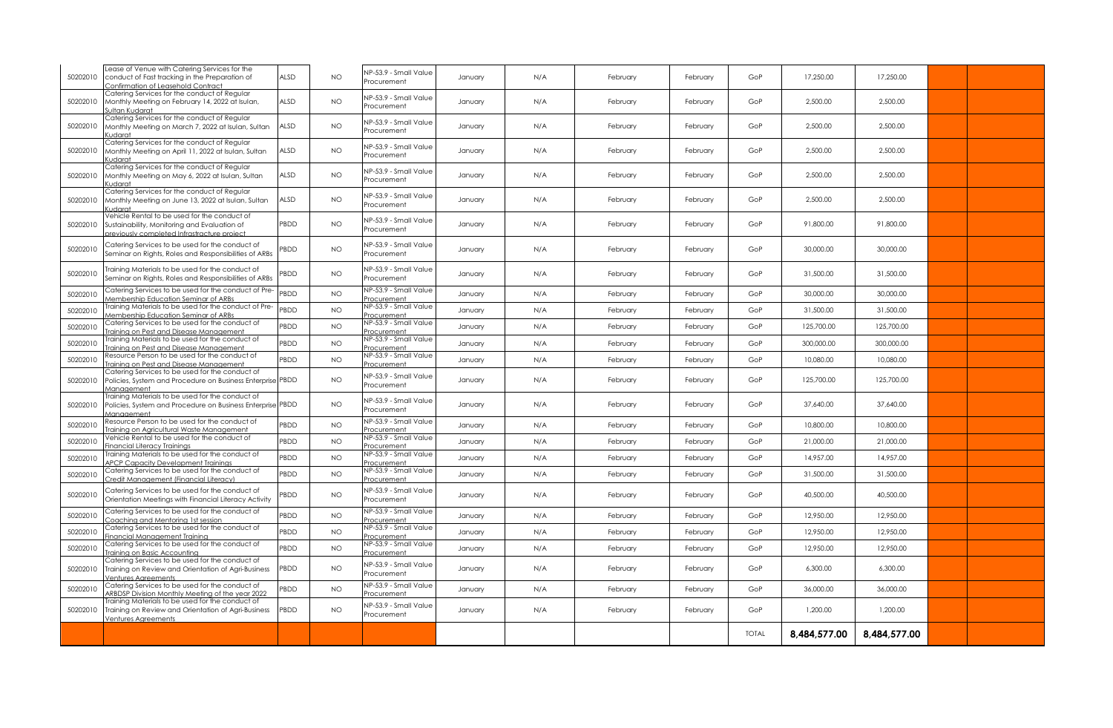| 50202010 | Lease of Venue with Catering Services for the<br>conduct of Fast tracking in the Preparation of<br>Confirmation of Leasehold Contract       | ALSD       | NO.       | NP-53.9 - Small Value<br>Procurement        | January | N/A | February | February | GoP          | 17,250.00    | 17,250.00    |  |
|----------|---------------------------------------------------------------------------------------------------------------------------------------------|------------|-----------|---------------------------------------------|---------|-----|----------|----------|--------------|--------------|--------------|--|
| 50202010 | Catering Services for the conduct of Regular<br>Monthly Meeting on February 14, 2022 at Isulan,<br>Sultan Kudarat                           | ALSD       | NO.       | NP-53.9 - Small Value<br>Procurement        | January | N/A | February | February | GoP          | 2,500.00     | 2,500.00     |  |
| 50202010 | Catering Services for the conduct of Regular<br>Monthly Meeting on March 7, 2022 at Isulan, Sultan<br>Kudarat                               | ALSD       | NO.       | NP-53.9 - Small Value<br>Procurement        | January | N/A | February | February | GoP          | 2,500.00     | 2,500.00     |  |
| 50202010 | Catering Services for the conduct of Regular<br>Monthly Meeting on April 11, 2022 at Isulan, Sultan<br>Kudarat                              | ALSD       | NO.       | NP-53.9 - Small Value<br>Procurement        | January | N/A | February | February | GoP          | 2,500.00     | 2,500.00     |  |
| 50202010 | Catering Services for the conduct of Regular<br>Monthly Meeting on May 6, 2022 at Isulan, Sultan<br>(udarat                                 | ALSD       | NO.       | NP-53.9 - Small Value<br>Procurement        | January | N/A | February | February | GoP          | 2,500.00     | 2,500.00     |  |
| 50202010 | Catering Services for the conduct of Regular<br>Monthly Meeting on June 13, 2022 at Isulan, Sultan<br>Kudarat                               | ALSD       | NO.       | <b>NP-53.9 - Small Value</b><br>Procurement | January | N/A | February | February | GoP          | 2,500.00     | 2,500.00     |  |
| 50202010 | Vehicle Rental to be used for the conduct of<br>Sustainability, Monitoring and Evaluation of<br>previously completed Infrastracture project | PBDD       | NO.       | <b>NP-53.9 - Small Value</b><br>Procurement | January | N/A | February | February | GoP          | 91,800.00    | 91,800.00    |  |
| 50202010 | Catering Services to be used for the conduct of<br>Seminar on Rights, Roles and Responsibilities of ARBs                                    | <b>BDD</b> | NO.       | NP-53.9 - Small Value<br>Procurement        | January | N/A | February | February | GoP          | 30,000.00    | 30,000.00    |  |
| 50202010 | Training Materials to be used for the conduct of<br>Seminar on Rights, Roles and Responsibilities of ARBs                                   | <b>BDD</b> | NO.       | NP-53.9 - Small Value<br>Procurement        | January | N/A | February | February | GoP          | 31,500.00    | 31,500.00    |  |
| 50202010 | Catering Services to be used for the conduct of Pre-<br>Membership Education Seminar of ARBs                                                | PBDD       | NO.       | NP-53.9 - Small Value<br>Procurement        | January | N/A | February | February | GoP          | 30,000.00    | 30,000.00    |  |
| 50202010 | raining Materials to be used for the conduct of Pre-<br>Membership Education Seminar of ARBs                                                | <b>BDD</b> | NO.       | NP-53.9 - Small Value<br>Procurement        | January | N/A | February | February | GoP          | 31,500.00    | 31,500.00    |  |
| 50202010 | Catering Services to be used for the conduct of<br>raining on Pest and Disease Management                                                   | PBDD       | <b>NO</b> | NP-53.9 - Small Value<br>Procurement        | January | N/A | February | February | GoP          | 125,700.00   | 125,700.00   |  |
| 50202010 | raining Materials to be used for the conduct of<br>raining on Pest and Disease Management                                                   | PBDD       | NO.       | NP-53.9 - Small Value<br>Procurement        | January | N/A | February | February | GoP          | 300,000.00   | 300,000.00   |  |
| 50202010 | Resource Person to be used for the conduct of<br>raining on Pest and Disease Management                                                     | <b>BDD</b> | NO.       | NP-53.9 - Small Value<br>Procurement        | January | N/A | February | February | GoP          | 10,080.00    | 10,080.00    |  |
| 50202010 | Catering Services to be used for the conduct of<br>Policies, System and Procedure on Business Enterprise PBDD<br>Management                 |            | NO.       | NP-53.9 - Small Value<br>Procurement        | January | N/A | February | February | GoP          | 125,700.00   | 125,700.00   |  |
| 50202010 | raining Materials to be used for the conduct of<br>Policies, System and Procedure on Business Enterprise<br>Aanaaement                      | PBDD       | NO.       | NP-53.9 - Small Value<br>Procurement        | January | N/A | February | February | GoP          | 37,640.00    | 37,640.00    |  |
| 50202010 | Resource Person to be used for the conduct of<br>raining on Agricultural Waste Management                                                   | PBDD       | NO.       | NP-53.9 - Small Value<br>Procurement        | January | N/A | February | February | GoP          | 10,800.00    | 10,800.00    |  |
| 50202010 | Vehicle Rental to be used for the conduct of<br>inancial Literacy Trainings                                                                 | <b>BDD</b> | NO.       | NP-53.9 - Small Value<br>Procurement        | January | N/A | February | February | GoP          | 21,000.00    | 21,000.00    |  |
| 50202010 | Training Materials to be used for the conduct of<br>APCP Capacity Development Trainings                                                     | <b>BDD</b> | NO.       | NP-53.9 - Small Value<br>Procurement        | January | N/A | February | February | GoP          | 14,957.00    | 14,957.00    |  |
| 50202010 | Catering Services to be used for the conduct of<br>Credit Management (Financial Literacy)                                                   | PBDD       | NO.       | NP-53.9 - Small Value<br>Procurement        | January | N/A | February | February | GoP          | 31,500.00    | 31,500.00    |  |
| 50202010 | Catering Services to be used for the conduct of<br>Orientation Meetings with Financial Literacy Activity                                    | PBDD       | NO.       | NP-53.9 - Small Value<br>Procurement        | January | N/A | February | February | GoP          | 40,500.00    | 40,500.00    |  |
| 50202010 | Catering Services to be used for the conduct of<br>Coaching and Mentoring 1st session                                                       | PBDD       | NO.       | NP-53.9 - Small Value<br>Procurement        | January | N/A | February | February | GoP          | 12,950.00    | 12,950,00    |  |
| 50202010 | Catering Services to be used for the conduct of<br>inancial Management Trainina                                                             | PBDD       | <b>NO</b> | NP-53.9 - Small Value<br>Procurement        | January | N/A | February | February | GoP          | 12,950.00    | 12,950.00    |  |
| 50202010 | Catering Services to be used for the conduct of<br>raining on Basic Accounting                                                              | PBDD       | NO.       | NP-53.9 - Small Value<br>Procurement        | January | N/A | February | February | GoP          | 12,950.00    | 12,950.00    |  |
| 50202010 | Catering Services to be used for the conduct of<br>Training on Review and Orientation of Agri-Business<br>Ventures Aareements               | PBDD       | NO.       | NP-53.9 - Small Value<br>Procurement        | January | N/A | February | February | GoP          | 6,300.00     | 6,300.00     |  |
| 50202010 | Catering Services to be used for the conduct of<br><b>ARBDSP Division Monthly Meeting of the year 2022</b>                                  | PBDD       | <b>NO</b> | NP-53.9 - Small Value<br>rocurement         | January | N/A | February | February | GoP          | 36,000.00    | 36,000.00    |  |
| 50202010 | raining Materials to be used for the conduct of<br>Training on Review and Orientation of Agri-Business<br><b>Ventures Agreements</b>        | PBDD       | NO.       | <b>VP-53.9 - Small Value</b><br>Procurement | January | N/A | February | February | GoP          | 1,200.00     | 1,200.00     |  |
|          |                                                                                                                                             |            |           |                                             |         |     |          |          | <b>TOTAL</b> | 8,484,577.00 | 8,484,577.00 |  |
|          |                                                                                                                                             |            |           |                                             |         |     |          |          |              |              |              |  |